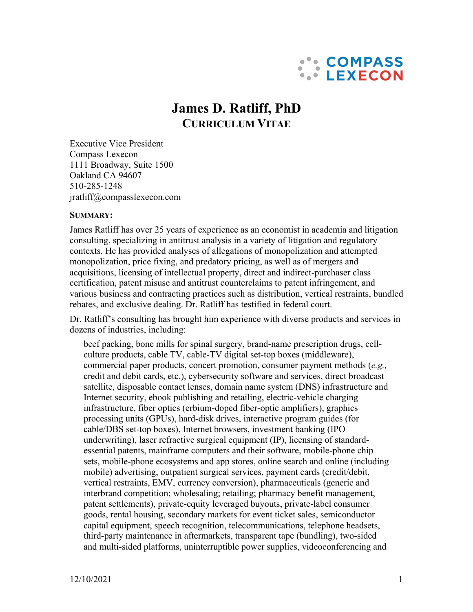

# **James D. Ratliff, PhD CURRICULUM VITAE**

Executive Vice President Compass Lexecon 1111 Broadway, Suite 1500 Oakland CA 94607 510-285-1248 jratliff@compasslexecon.com

#### **SUMMARY:**

James Ratliff has over 25 years of experience as an economist in academia and litigation consulting, specializing in antitrust analysis in a variety of litigation and regulatory contexts. He has provided analyses of allegations of monopolization and attempted monopolization, price fixing, and predatory pricing, as well as of mergers and acquisitions, licensing of intellectual property, direct and indirect-purchaser class certification, patent misuse and antitrust counterclaims to patent infringement, and various business and contracting practices such as distribution, vertical restraints, bundled rebates, and exclusive dealing. Dr. Ratliff has testified in federal court.

Dr. Ratliff's consulting has brought him experience with diverse products and services in dozens of industries, including:

beef packing, bone mills for spinal surgery, brand-name prescription drugs, cellculture products, cable TV, cable-TV digital set-top boxes (middleware), commercial paper products, concert promotion, consumer payment methods (*e.g.,* credit and debit cards, etc.), cybersecurity software and services, direct broadcast satellite, disposable contact lenses, domain name system (DNS) infrastructure and Internet security, ebook publishing and retailing, electric-vehicle charging infrastructure, fiber optics (erbium-doped fiber-optic amplifiers), graphics processing units (GPUs), hard-disk drives, interactive program guides (for cable/DBS set-top boxes), Internet browsers, investment banking (IPO underwriting), laser refractive surgical equipment (IP), licensing of standardessential patents, mainframe computers and their software, mobile-phone chip sets, mobile-phone ecosystems and app stores, online search and online (including mobile) advertising, outpatient surgical services, payment cards (credit/debit, vertical restraints, EMV, currency conversion), pharmaceuticals (generic and interbrand competition; wholesaling; retailing; pharmacy benefit management, patent settlements), private-equity leveraged buyouts, private-label consumer goods, rental housing, secondary markets for event ticket sales, semiconductor capital equipment, speech recognition, telecommunications, telephone headsets, third-party maintenance in aftermarkets, transparent tape (bundling), two-sided and multi-sided platforms, uninterruptible power supplies, videoconferencing and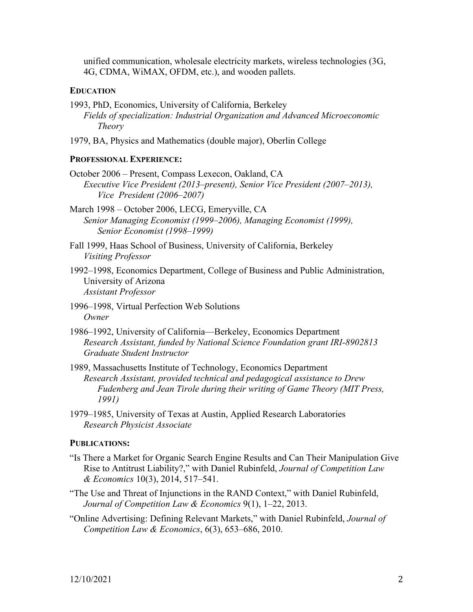unified communication, wholesale electricity markets, wireless technologies (3G, 4G, CDMA, WiMAX, OFDM, etc.), and wooden pallets.

### **EDUCATION**

- 1993, PhD, Economics, University of California, Berkeley *Fields of specialization: Industrial Organization and Advanced Microeconomic Theory*
- 1979, BA, Physics and Mathematics (double major), Oberlin College

#### **PROFESSIONAL EXPERIENCE:**

October 2006 – Present, Compass Lexecon, Oakland, CA *Executive Vice President (2013–present), Senior Vice President (2007–2013), Vice President (2006–2007)*

March 1998 – October 2006, LECG, Emeryville, CA *Senior Managing Economist (1999–2006), Managing Economist (1999), Senior Economist (1998–1999)*

- Fall 1999, Haas School of Business, University of California, Berkeley *Visiting Professor*
- 1992–1998, Economics Department, College of Business and Public Administration, University of Arizona *Assistant Professor*
- 1996–1998, Virtual Perfection Web Solutions *Owner*
- 1986–1992, University of California—Berkeley, Economics Department *Research Assistant, funded by National Science Foundation grant IRI-8902813 Graduate Student Instructor*
- 1989, Massachusetts Institute of Technology, Economics Department *Research Assistant, provided technical and pedagogical assistance to Drew Fudenberg and Jean Tirole during their writing of Game Theory (MIT Press, 1991)*
- 1979–1985, University of Texas at Austin, Applied Research Laboratories *Research Physicist Associate*

#### **PUBLICATIONS:**

- "Is There a Market for Organic Search Engine Results and Can Their Manipulation Give Rise to Antitrust Liability?," with Daniel Rubinfeld, *Journal of Competition Law & Economics* 10(3), 2014, 517–541.
- "The Use and Threat of Injunctions in the RAND Context," with Daniel Rubinfeld, *Journal of Competition Law & Economics* 9(1), 1–22, 2013.
- "Online Advertising: Defining Relevant Markets," with Daniel Rubinfeld, *Journal of Competition Law & Economics*, 6(3), 653–686, 2010.